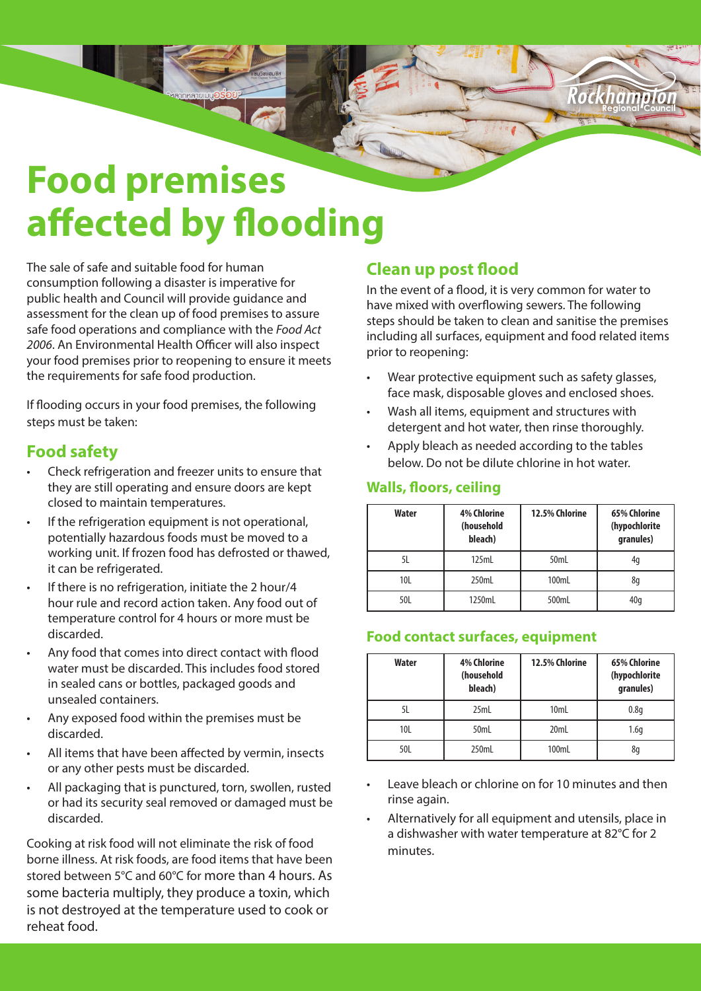# **Food premises affected by flooding**

The sale of safe and suitable food for human consumption following a disaster is imperative for public health and Council will provide guidance and assessment for the clean up of food premises to assure safe food operations and compliance with the *Food Act 2006*. An Environmental Health Officer will also inspect your food premises prior to reopening to ensure it meets the requirements for safe food production.

If flooding occurs in your food premises, the following steps must be taken:

### **Food safety**

- Check refrigeration and freezer units to ensure that they are still operating and ensure doors are kept closed to maintain temperatures.
- If the refrigeration equipment is not operational, potentially hazardous foods must be moved to a working unit. If frozen food has defrosted or thawed, it can be refrigerated.
- If there is no refrigeration, initiate the 2 hour/4 hour rule and record action taken. Any food out of temperature control for 4 hours or more must be discarded.
- Any food that comes into direct contact with flood water must be discarded. This includes food stored in sealed cans or bottles, packaged goods and unsealed containers.
- Any exposed food within the premises must be discarded.
- All items that have been affected by vermin, insects or any other pests must be discarded.
- All packaging that is punctured, torn, swollen, rusted or had its security seal removed or damaged must be discarded.

Cooking at risk food will not eliminate the risk of food borne illness. At risk foods, are food items that have been stored between 5°C and 60°C for more than 4 hours. As some bacteria multiply, they produce a toxin, which is not destroyed at the temperature used to cook or reheat food.

## **Clean up post flood**

In the event of a flood, it is very common for water to have mixed with overflowing sewers. The following steps should be taken to clean and sanitise the premises including all surfaces, equipment and food related items prior to reopening:

Rorkhan

- Wear protective equipment such as safety glasses, face mask, disposable gloves and enclosed shoes.
- Wash all items, equipment and structures with detergent and hot water, then rinse thoroughly.
- Apply bleach as needed according to the tables below. Do not be dilute chlorine in hot water.

#### **Walls, floors, ceiling**

| <b>Water</b> | <b>4% Chlorine</b><br>(household<br>bleach) | 12.5% Chlorine | 65% Chlorine<br>(hypochlorite<br>granules) |
|--------------|---------------------------------------------|----------------|--------------------------------------------|
| 5L           | 125mL                                       | 50mL           | 4q                                         |
| 10L          | 250mL                                       | 100mL          | 8q                                         |
| 50L          | 1250mL                                      | 500mL          | 40q                                        |

#### **Food contact surfaces, equipment**

| <b>Water</b> | <b>4% Chlorine</b><br>(household<br>bleach) | 12.5% Chlorine | 65% Chlorine<br>(hypochlorite<br>granules) |
|--------------|---------------------------------------------|----------------|--------------------------------------------|
| 5L           | 25mL                                        | 10mL           | 0.8q                                       |
| 10L          | 50mL                                        | 20mL           | 1.6q                                       |
| 50L          | 250mL                                       | 100mL          | 8q                                         |

- Leave bleach or chlorine on for 10 minutes and then rinse again.
- Alternatively for all equipment and utensils, place in a dishwasher with water temperature at 82°C for 2 minutes.